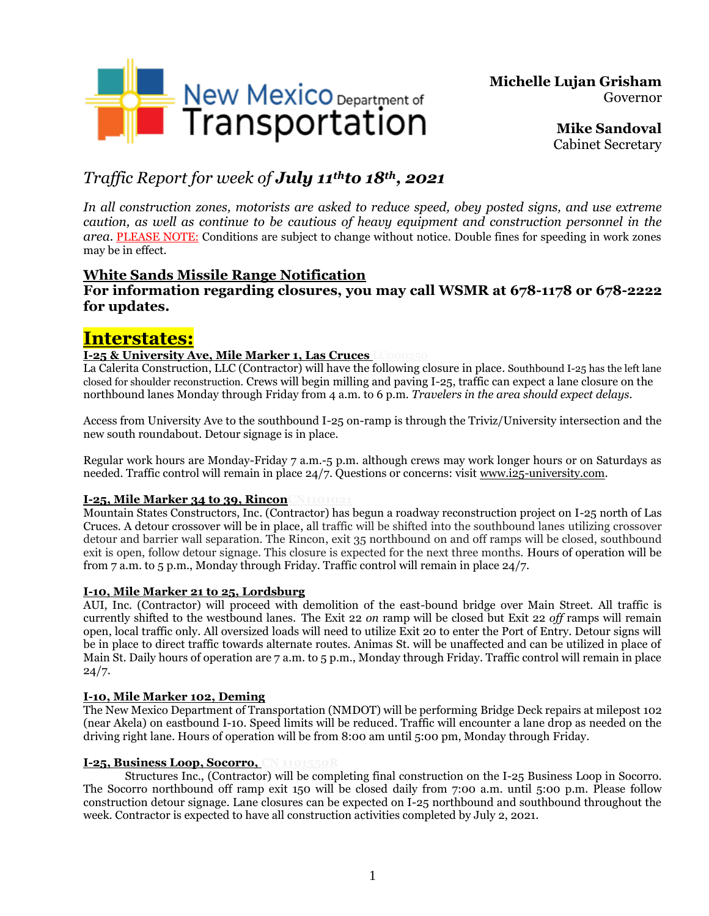

**Michelle Lujan Grisham** Governor

> **Mike Sandoval** Cabinet Secretary

## *Traffic Report for week of July 11thto 18th , 2021*

*In all construction zones, motorists are asked to reduce speed, obey posted signs, and use extreme caution, as well as continue to be cautious of heavy equipment and construction personnel in the area.* PLEASE NOTE: Conditions are subject to change without notice. Double fines for speeding in work zones may be in effect.

## **White Sands Missile Range Notification**

### **For information regarding closures, you may call WSMR at 678-1178 or 678-2222 for updates.**

# **Interstates:**

### **I-25 & University Ave, Mile Marker 1, Las Cruces**

La Calerita Construction, LLC (Contractor) will have the following closure in place. Southbound I-25 has the left lane closed for shoulder reconstruction. Crews will begin milling and paving I-25, traffic can expect a lane closure on the northbound lanes Monday through Friday from 4 a.m. to 6 p.m. *Travelers in the area should expect delays.*

Access from University Ave to the southbound I-25 on-ramp is through the Triviz/University intersection and the new south roundabout. Detour signage is in place.

Regular work hours are Monday-Friday 7 a.m.-5 p.m. although crews may work longer hours or on Saturdays as needed. Traffic control will remain in place 24/7. Questions or concerns: visit [www.i25-university.com.](http://www.i25-university.com/)

### **I-25, Mile Marker 34 to 39, Rincon CN1101**

Mountain States Constructors, Inc. (Contractor) has begun a roadway reconstruction project on I-25 north of Las Cruces. A detour crossover will be in place, all traffic will be shifted into the southbound lanes utilizing crossover detour and barrier wall separation. The Rincon, exit 35 northbound on and off ramps will be closed, southbound exit is open, follow detour signage. This closure is expected for the next three months. Hours of operation will be from 7 a.m. to 5 p.m., Monday through Friday. Traffic control will remain in place 24/7.

### **I-10, Mile Marker 21 to 25, Lordsburg**

AUI, Inc. (Contractor) will proceed with demolition of the east-bound bridge over Main Street. All traffic is currently shifted to the westbound lanes. The Exit 22 *on* ramp will be closed but Exit 22 *off* ramps will remain open, local traffic only. All oversized loads will need to utilize Exit 20 to enter the Port of Entry. Detour signs will be in place to direct traffic towards alternate routes. Animas St. will be unaffected and can be utilized in place of Main St. Daily hours of operation are 7 a.m. to 5 p.m., Monday through Friday. Traffic control will remain in place  $24/7.$ 

### **I-10, Mile Marker 102, Deming**

The New Mexico Department of Transportation (NMDOT) will be performing Bridge Deck repairs at milepost 102 (near Akela) on eastbound I-10. Speed limits will be reduced. Traffic will encounter a lane drop as needed on the driving right lane. Hours of operation will be from 8:00 am until 5:00 pm, Monday through Friday.

### **I-25, Business Loop, Socorro, C**

Structures Inc., (Contractor) will be completing final construction on the I-25 Business Loop in Socorro. The Socorro northbound off ramp exit 150 will be closed daily from 7:00 a.m. until 5:00 p.m. Please follow construction detour signage. Lane closures can be expected on I-25 northbound and southbound throughout the week. Contractor is expected to have all construction activities completed by July 2, 2021.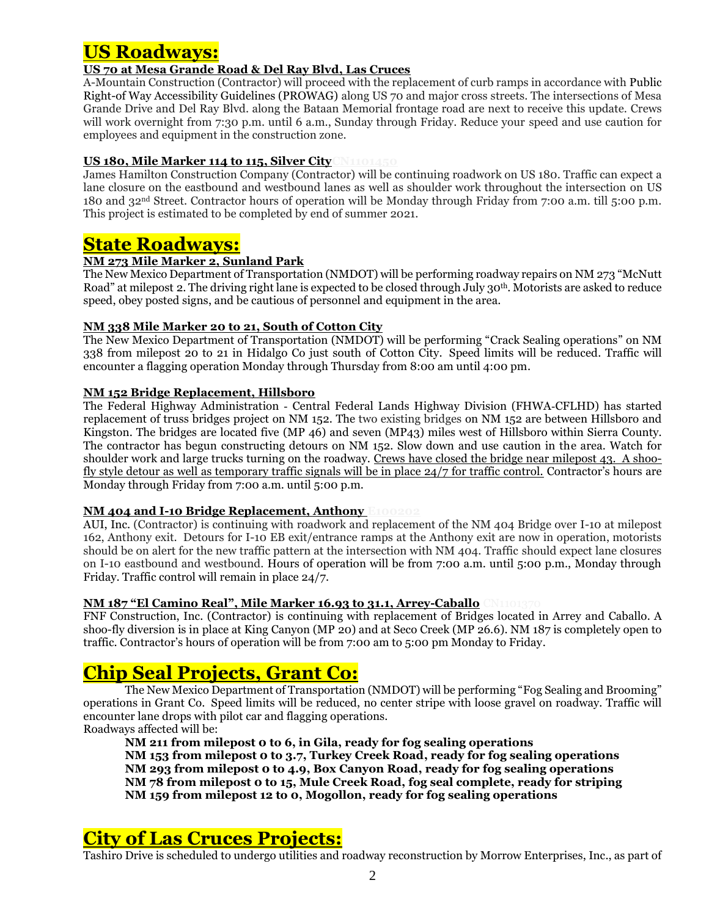## **US Roadways:**

### **US 70 at Mesa Grande Road & Del Ray Blvd, Las Cruces**

A-Mountain Construction (Contractor) will proceed with the replacement of curb ramps in accordance with Public Right-of Way Accessibility Guidelines (PROWAG) along US 70 and major cross streets. The intersections of Mesa Grande Drive and Del Ray Blvd. along the Bataan Memorial frontage road are next to receive this update. Crews will work overnight from 7:30 p.m. until 6 a.m., Sunday through Friday. Reduce your speed and use caution for employees and equipment in the construction zone.

### **US 180, Mile Marker 114 to 115, Silver CityCN1101450**

James Hamilton Construction Company (Contractor) will be continuing roadwork on US 180. Traffic can expect a lane closure on the eastbound and westbound lanes as well as shoulder work throughout the intersection on US 180 and 32nd Street. Contractor hours of operation will be Monday through Friday from 7:00 a.m. till 5:00 p.m. This project is estimated to be completed by end of summer 2021.

## **State Roadways:**

### **NM 273 Mile Marker 2, Sunland Park**

The New Mexico Department of Transportation (NMDOT) will be performing roadway repairs on NM 273 "McNutt Road" at milepost 2. The driving right lane is expected to be closed through July 30<sup>th</sup>. Motorists are asked to reduce speed, obey posted signs, and be cautious of personnel and equipment in the area.

### **NM 338 Mile Marker 20 to 21, South of Cotton City**

The New Mexico Department of Transportation (NMDOT) will be performing "Crack Sealing operations" on NM 338 from milepost 20 to 21 in Hidalgo Co just south of Cotton City. Speed limits will be reduced. Traffic will encounter a flagging operation Monday through Thursday from 8:00 am until 4:00 pm.

### **NM 152 Bridge Replacement, Hillsboro**

The Federal Highway Administration ‐ Central Federal Lands Highway Division (FHWA‐CFLHD) has started replacement of truss bridges project on NM 152. The two existing bridges on NM 152 are between Hillsboro and Kingston. The bridges are located five (MP 46) and seven (MP43) miles west of Hillsboro within Sierra County. The contractor has begun constructing detours on NM 152. Slow down and use caution in the area. Watch for shoulder work and large trucks turning on the roadway. Crews have closed the bridge near milepost 43. A shoofly style detour as well as temporary traffic signals will be in place 24/7 for traffic control. Contractor's hours are Monday through Friday from 7:00 a.m. until 5:00 p.m.

### **NM 404 and I-10 Bridge Replacement, Anthony E100202**

AUI, Inc. (Contractor) is continuing with roadwork and replacement of the NM 404 Bridge over I-10 at milepost 162, Anthony exit. Detours for I-10 EB exit/entrance ramps at the Anthony exit are now in operation, motorists should be on alert for the new traffic pattern at the intersection with NM 404. Traffic should expect lane closures on I-10 eastbound and westbound. Hours of operation will be from 7:00 a.m. until 5:00 p.m., Monday through Friday. Traffic control will remain in place 24/7.

### **NM 187 "El Camino Real", Mile Marker 16.93 to 31.1, Arrey-Caballo**

FNF Construction, Inc. (Contractor) is continuing with replacement of Bridges located in Arrey and Caballo. A shoo-fly diversion is in place at King Canyon (MP 20) and at Seco Creek (MP 26.6). NM 187 is completely open to traffic. Contractor's hours of operation will be from 7:00 am to 5:00 pm Monday to Friday.

# **Chip Seal Projects, Grant Co:**

The New Mexico Department of Transportation (NMDOT) will be performing "Fog Sealing and Brooming" operations in Grant Co. Speed limits will be reduced, no center stripe with loose gravel on roadway. Traffic will encounter lane drops with pilot car and flagging operations.

Roadways affected will be:

**NM 211 from milepost 0 to 6, in Gila, ready for fog sealing operations NM 153 from milepost 0 to 3.7, Turkey Creek Road, ready for fog sealing operations NM 293 from milepost 0 to 4.9, Box Canyon Road, ready for fog sealing operations NM 78 from milepost 0 to 15, Mule Creek Road, fog seal complete, ready for striping NM 159 from milepost 12 to 0, Mogollon, ready for fog sealing operations**

# **City of Las Cruces Projects:**

Tashiro Drive is scheduled to undergo utilities and roadway reconstruction by Morrow Enterprises, Inc., as part of